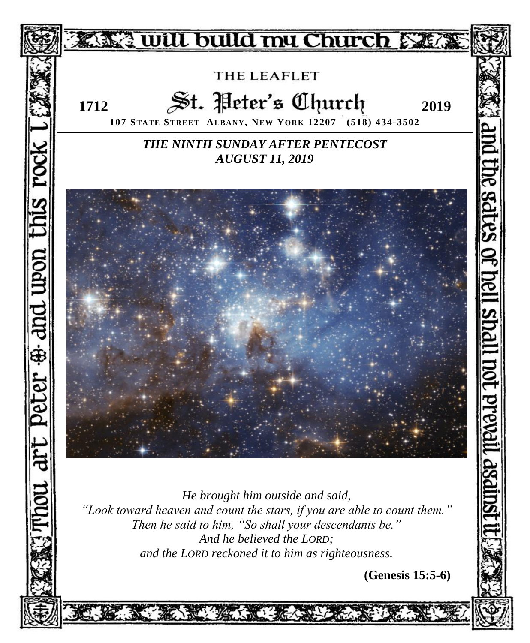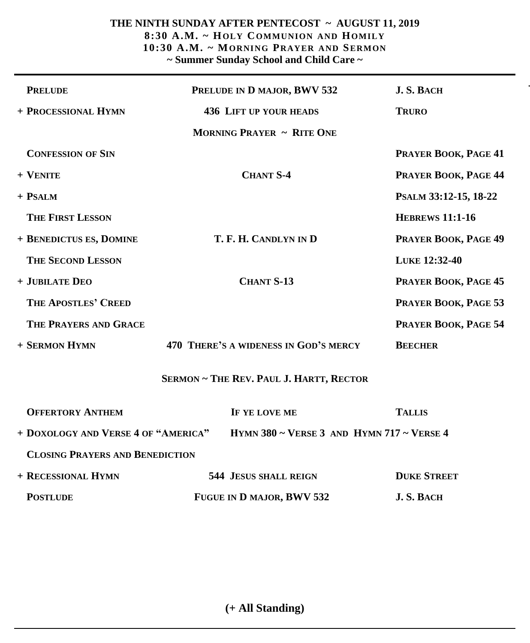### **THE NINTH SUNDAY AFTER PENTECOST ~ AUGUST 11, 2019 8:30 A.M. ~ HOLY COMMUNION AND HOMILY 10:30 A.M. ~ MORNING PRAYER AND SERMON ~ Summer Sunday School and Child Care ~**

| <b>PRELUDE</b>                                                                   | PRELUDE IN D MAJOR, BWV 532                    | J.S. BACH              |
|----------------------------------------------------------------------------------|------------------------------------------------|------------------------|
| + PROCESSIONAL HYMN                                                              | <b>436 LIFT UP YOUR HEADS</b>                  | <b>TRURO</b>           |
|                                                                                  | <b>MORNING PRAYER ~ RITE ONE</b>               |                        |
| <b>CONFESSION OF SIN</b>                                                         |                                                | PRAYER BOOK, PAGE 41   |
| + VENITE                                                                         | <b>CHANT S-4</b>                               | PRAYER BOOK, PAGE 44   |
| + PSALM                                                                          |                                                | PSALM 33:12-15, 18-22  |
| <b>THE FIRST LESSON</b>                                                          |                                                | <b>HEBREWS 11:1-16</b> |
| + BENEDICTUS ES, DOMINE                                                          | T. F. H. CANDLYN IN D                          | PRAYER BOOK, PAGE 49   |
| <b>THE SECOND LESSON</b>                                                         |                                                | LUKE 12:32-40          |
| + JUBILATE DEO                                                                   | <b>CHANT S-13</b>                              | PRAYER BOOK, PAGE 45   |
| THE APOSTLES' CREED                                                              |                                                | PRAYER BOOK, PAGE 53   |
| THE PRAYERS AND GRACE                                                            |                                                | PRAYER BOOK, PAGE 54   |
| + SERMON HYMN                                                                    | 470 THERE'S A WIDENESS IN GOD'S MERCY          | <b>BEECHER</b>         |
|                                                                                  | <b>SERMON ~ THE REV. PAUL J. HARTT, RECTOR</b> |                        |
| <b>OFFERTORY ANTHEM</b>                                                          | IF YE LOVE ME                                  | <b>TALLIS</b>          |
| HYMN 380 ~ VERSE 3 AND HYMN 717 ~ VERSE 4<br>+ DOXOLOGY AND VERSE 4 OF "AMERICA" |                                                |                        |
| <b>CLOSING PRAYERS AND BENEDICTION</b>                                           |                                                |                        |
| + RECESSIONAL HYMN                                                               | <b>544 JESUS SHALL REIGN</b>                   | <b>DUKE STREET</b>     |
| <b>POSTLUDE</b>                                                                  | FUGUE IN D MAJOR, BWV 532                      | J.S. BACH              |

**(+ All Standing)**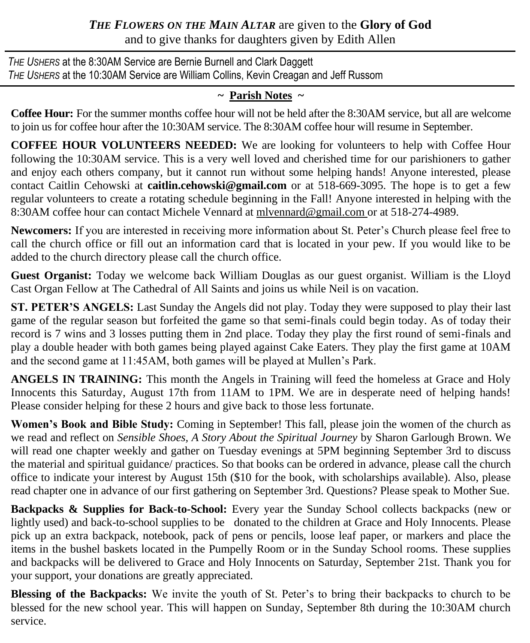# *THE FLOWERS ON THE MAIN ALTAR* are given to the **Glory of God** and to give thanks for daughters given by Edith Allen

*THE USHERS* at the 8:30AM Service are Bernie Burnell and Clark Daggett *THE USHERS* at the 10:30AM Service are William Collins, Kevin Creagan and Jeff Russom

# **~ Parish Notes ~**

**Coffee Hour:** For the summer months coffee hour will not be held after the 8:30AM service, but all are welcome to join us for coffee hour after the 10:30AM service. The 8:30AM coffee hour will resume in September.

**COFFEE HOUR VOLUNTEERS NEEDED:** We are looking for volunteers to help with Coffee Hour following the 10:30AM service. This is a very well loved and cherished time for our parishioners to gather and enjoy each others company, but it cannot run without some helping hands! Anyone interested, please contact Caitlin Cehowski at **[caitlin.cehowski@gmail.com](mailto:caitlincehowski@gmail.com)** or at 518-669-3095. The hope is to get a few regular volunteers to create a rotating schedule beginning in the Fall! Anyone interested in helping with the 8:30AM coffee hour can contact Michele Vennard at mlvennard@[gmail.com o](mailto:m.vennard@albany.org)r at 518-274-4989.

**Newcomers:** If you are interested in receiving more information about St. Peter's Church please feel free to call the church office or fill out an information card that is located in your pew. If you would like to be added to the church directory please call the church office.

**Guest Organist:** Today we welcome back William Douglas as our guest organist. William is the Lloyd Cast Organ Fellow at The Cathedral of All Saints and joins us while Neil is on vacation.

**ST. PETER'S ANGELS:** Last Sunday the Angels did not play. Today they were supposed to play their last game of the regular season but forfeited the game so that semi-finals could begin today. As of today their record is 7 wins and 3 losses putting them in 2nd place. Today they play the first round of semi-finals and play a double header with both games being played against Cake Eaters. They play the first game at 10AM and the second game at 11:45AM, both games will be played at Mullen's Park.

**ANGELS IN TRAINING:** This month the Angels in Training will feed the homeless at Grace and Holy Innocents this Saturday, August 17th from 11AM to 1PM. We are in desperate need of helping hands! Please consider helping for these 2 hours and give back to those less fortunate.

**Women's Book and Bible Study:** Coming in September! This fall, please join the women of the church as we read and reflect on *Sensible Shoes, A Story About the Spiritual Journey* by Sharon Garlough Brown. We will read one chapter weekly and gather on Tuesday evenings at 5PM beginning September 3rd to discuss the material and spiritual guidance/ practices. So that books can be ordered in advance, please call the church office to indicate your interest by August 15th (\$10 for the book, with scholarships available). Also, please read chapter one in advance of our first gathering on September 3rd. Questions? Please speak to Mother Sue.

Backpacks & Supplies for Back-to-School: Every year the Sunday School collects backpacks (new or lightly used) and back-to-school supplies to be donated to the children at Grace and Holy Innocents. Please pick up an extra backpack, notebook, pack of pens or pencils, loose leaf paper, or markers and place the items in the bushel baskets located in the Pumpelly Room or in the Sunday School rooms. These supplies and backpacks will be delivered to Grace and Holy Innocents on Saturday, September 21st. Thank you for your support, your donations are greatly appreciated.

**Blessing of the Backpacks:** We invite the youth of St. Peter's to bring their backpacks to church to be blessed for the new school year. This will happen on Sunday, September 8th during the 10:30AM church service.